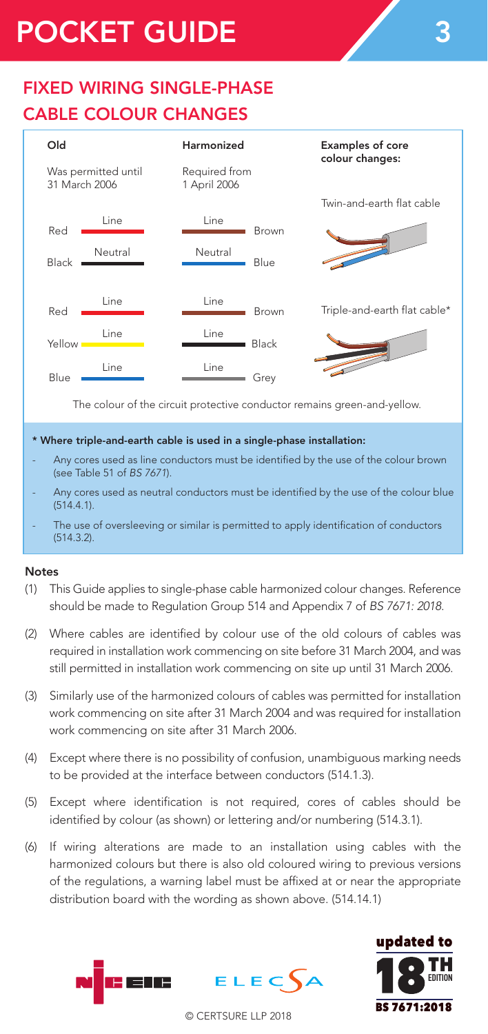# POCKET GUIDE

## FIXED WIRING SINGLE-PHASE CABLE COLOUR CHANGES



The colour of the circuit protective conductor remains green-and-yellow.

#### \* Where triple-and-earth cable is used in a single-phase installation:

- Any cores used as line conductors must be identified by the use of the colour brown (see Table 51 of BS 7671).
- Any cores used as neutral conductors must be identified by the use of the colour blue (514.4.1).
- The use of oversleeving or similar is permitted to apply identification of conductors (514.3.2).

#### Notes

- (1) This Guide applies to single-phase cable harmonized colour changes. Reference should be made to Regulation Group 514 and Appendix 7 of *BS 7671: 2018*.
- (2) Where cables are identified by colour use of the old colours of cables was required in installation work commencing on site before 31 March 2004, and was still permitted in installation work commencing on site up until 31 March 2006.
- (3) Similarly use of the harmonized colours of cables was permitted for installation work commencing on site after 31 March 2004 and was required for installation work commencing on site after 31 March 2006.
- (4) Except where there is no possibility of confusion, unambiguous marking needs to be provided at the interface between conductors (514.1.3).
- (5) Except where identification is not required, cores of cables should be identified by colour (as shown) or lettering and/or numbering (514.3.1).
- (6) If wiring alterations are made to an installation using cables with the harmonized colours but there is also old coloured wiring to previous versions of the regulations, a warning label must be affixed at or near the appropriate distribution board with the wording as shown above. (514.14.1)





© CERTSURE LLP 2018